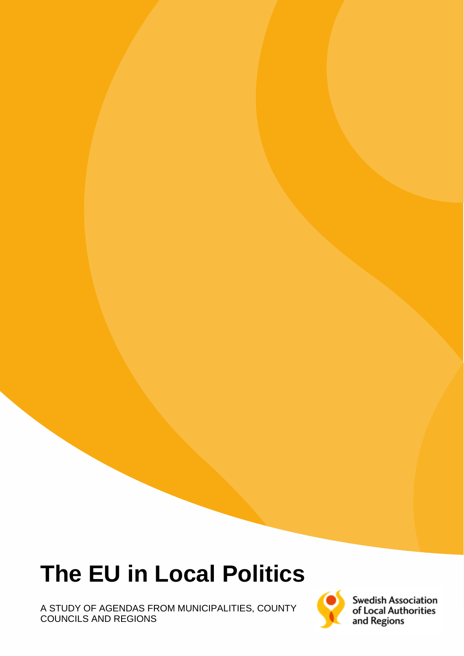# **The EU in Local Politics**

A STUDY OF AGENDAS FROM MUNICIPALITIES, COUNTY COUNCILS AND REGIONS



**Swedish Association** of Local Authorities and Regions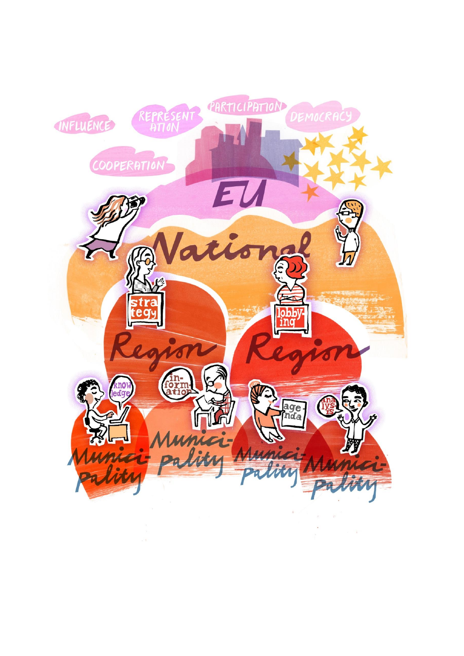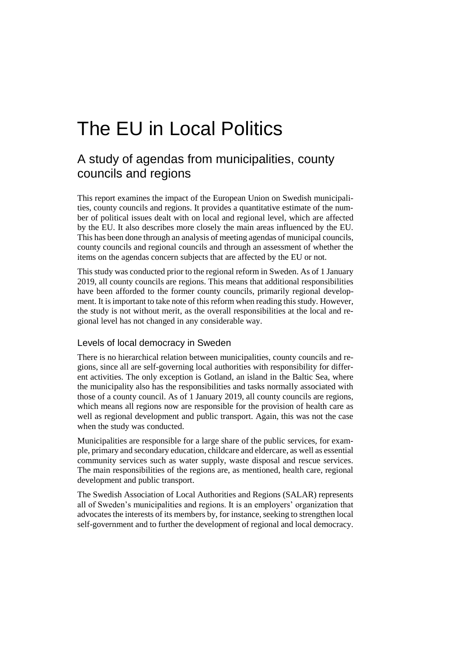# The EU in Local Politics

# A study of agendas from municipalities, county councils and regions

This report examines the impact of the European Union on Swedish municipalities, county councils and regions. It provides a quantitative estimate of the number of political issues dealt with on local and regional level, which are affected by the EU. It also describes more closely the main areas influenced by the EU. This has been done through an analysis of meeting agendas of municipal councils, county councils and regional councils and through an assessment of whether the items on the agendas concern subjects that are affected by the EU or not.

This study was conducted prior to the regional reform in Sweden. As of 1 January 2019, all county councils are regions. This means that additional responsibilities have been afforded to the former county councils, primarily regional development. It is important to take note of this reform when reading this study. However, the study is not without merit, as the overall responsibilities at the local and regional level has not changed in any considerable way.

### Levels of local democracy in Sweden

There is no hierarchical relation between municipalities, county councils and regions, since all are self-governing local authorities with responsibility for different activities. The only exception is Gotland, an island in the Baltic Sea, where the municipality also has the responsibilities and tasks normally associated with those of a county council. As of 1 January 2019, all county councils are regions, which means all regions now are responsible for the provision of health care as well as regional development and public transport. Again, this was not the case when the study was conducted.

Municipalities are responsible for a large share of the public services, for example, primary and secondary education, childcare and eldercare, as well as essential community services such as water supply, waste disposal and rescue services. The main responsibilities of the regions are, as mentioned, health care, regional development and public transport.

The Swedish Association of Local Authorities and Regions (SALAR) represents all of Sweden's municipalities and regions. It is an employers' organization that advocates the interests of its members by, for instance, seeking to strengthen local self-government and to further the development of regional and local democracy.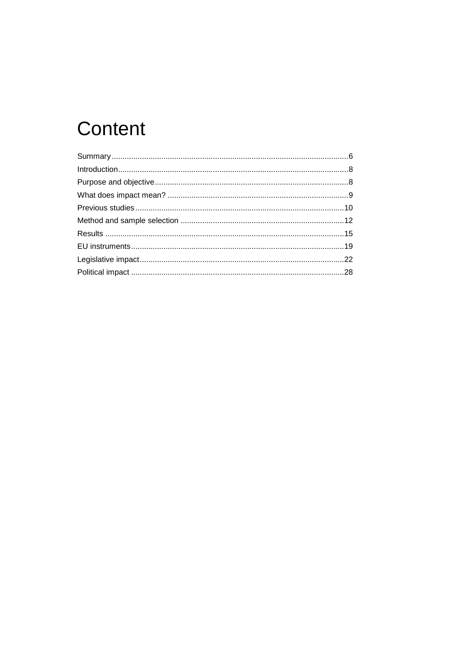# Content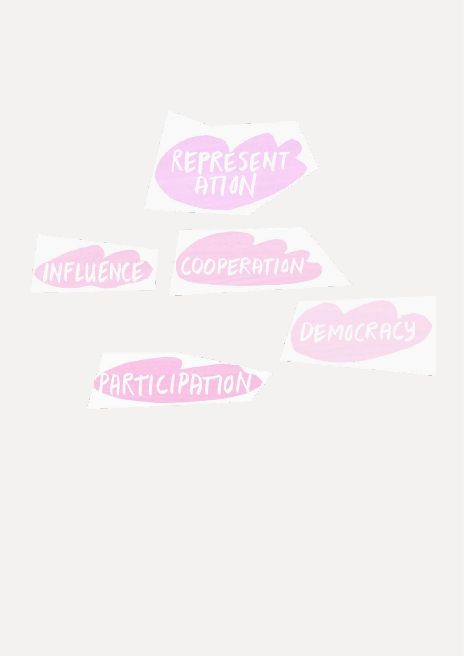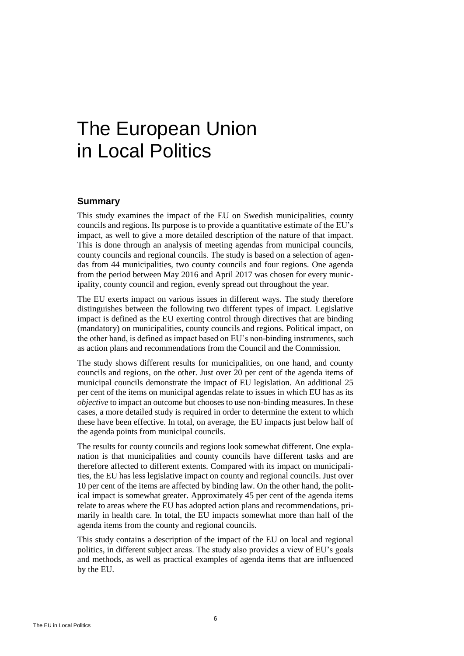# The European Union in Local Politics

### <span id="page-5-0"></span>**Summary**

This study examines the impact of the EU on Swedish municipalities, county councils and regions. Its purpose is to provide a quantitative estimate of the EU's impact, as well to give a more detailed description of the nature of that impact. This is done through an analysis of meeting agendas from municipal councils, county councils and regional councils. The study is based on a selection of agendas from 44 municipalities, two county councils and four regions. One agenda from the period between May 2016 and April 2017 was chosen for every municipality, county council and region, evenly spread out throughout the year.

The EU exerts impact on various issues in different ways. The study therefore distinguishes between the following two different types of impact. Legislative impact is defined as the EU exerting control through directives that are binding (mandatory) on municipalities, county councils and regions. Political impact, on the other hand, is defined as impact based on EU's non-binding instruments, such as action plans and recommendations from the Council and the Commission.

The study shows different results for municipalities, on one hand, and county councils and regions, on the other. Just over 20 per cent of the agenda items of municipal councils demonstrate the impact of EU legislation. An additional 25 per cent of the items on municipal agendas relate to issues in which EU has as its *objective* to impact an outcome but chooses to use non-binding measures. In these cases, a more detailed study is required in order to determine the extent to which these have been effective. In total, on average, the EU impacts just below half of the agenda points from municipal councils.

The results for county councils and regions look somewhat different. One explanation is that municipalities and county councils have different tasks and are therefore affected to different extents. Compared with its impact on municipalities, the EU has less legislative impact on county and regional councils. Just over 10 per cent of the items are affected by binding law. On the other hand, the political impact is somewhat greater. Approximately 45 per cent of the agenda items relate to areas where the EU has adopted action plans and recommendations, primarily in health care. In total, the EU impacts somewhat more than half of the agenda items from the county and regional councils.

This study contains a description of the impact of the EU on local and regional politics, in different subject areas. The study also provides a view of EU's goals and methods, as well as practical examples of agenda items that are influenced by the EU.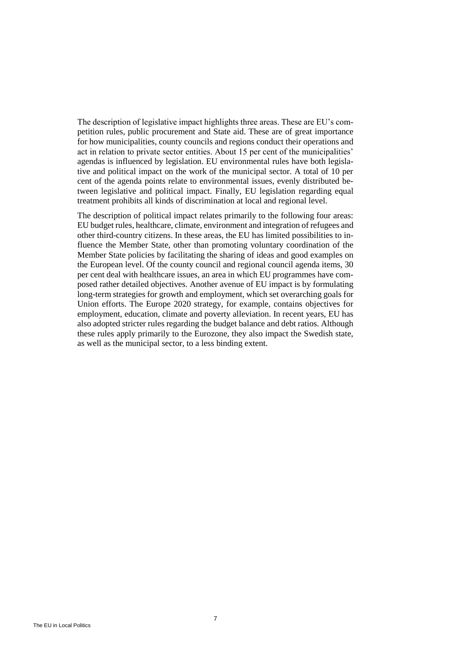The description of legislative impact highlights three areas. These are EU's competition rules, public procurement and State aid. These are of great importance for how municipalities, county councils and regions conduct their operations and act in relation to private sector entities. About 15 per cent of the municipalities' agendas is influenced by legislation. EU environmental rules have both legislative and political impact on the work of the municipal sector. A total of 10 per cent of the agenda points relate to environmental issues, evenly distributed between legislative and political impact. Finally, EU legislation regarding equal treatment prohibits all kinds of discrimination at local and regional level.

The description of political impact relates primarily to the following four areas: EU budget rules, healthcare, climate, environment and integration of refugees and other third-country citizens. In these areas, the EU has limited possibilities to influence the Member State, other than promoting voluntary coordination of the Member State policies by facilitating the sharing of ideas and good examples on the European level. Of the county council and regional council agenda items, 30 per cent deal with healthcare issues, an area in which EU programmes have composed rather detailed objectives. Another avenue of EU impact is by formulating long-term strategies for growth and employment, which set overarching goals for Union efforts. The Europe 2020 strategy, for example, contains objectives for employment, education, climate and poverty alleviation. In recent years, EU has also adopted stricter rules regarding the budget balance and debt ratios. Although these rules apply primarily to the Eurozone, they also impact the Swedish state, as well as the municipal sector, to a less binding extent.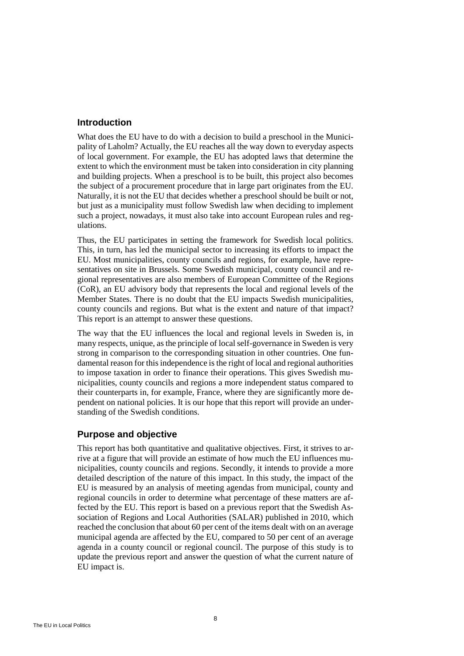# <span id="page-7-0"></span>**Introduction**

What does the EU have to do with a decision to build a preschool in the Municipality of Laholm? Actually, the EU reaches all the way down to everyday aspects of local government. For example, the EU has adopted laws that determine the extent to which the environment must be taken into consideration in city planning and building projects. When a preschool is to be built, this project also becomes the subject of a procurement procedure that in large part originates from the EU. Naturally, it is not the EU that decides whether a preschool should be built or not, but just as a municipality must follow Swedish law when deciding to implement such a project, nowadays, it must also take into account European rules and regulations.

Thus, the EU participates in setting the framework for Swedish local politics. This, in turn, has led the municipal sector to increasing its efforts to impact the EU. Most municipalities, county councils and regions, for example, have representatives on site in Brussels. Some Swedish municipal, county council and regional representatives are also members of European Committee of the Regions (CoR), an EU advisory body that represents the local and regional levels of the Member States. There is no doubt that the EU impacts Swedish municipalities, county councils and regions. But what is the extent and nature of that impact? This report is an attempt to answer these questions.

The way that the EU influences the local and regional levels in Sweden is, in many respects, unique, as the principle of local self-governance in Sweden is very strong in comparison to the corresponding situation in other countries. One fundamental reason for this independence is the right of local and regional authorities to impose taxation in order to finance their operations. This gives Swedish municipalities, county councils and regions a more independent status compared to their counterparts in, for example, France, where they are significantly more dependent on national policies. It is our hope that this report will provide an understanding of the Swedish conditions.

# <span id="page-7-1"></span>**Purpose and objective**

This report has both quantitative and qualitative objectives. First, it strives to arrive at a figure that will provide an estimate of how much the EU influences municipalities, county councils and regions. Secondly, it intends to provide a more detailed description of the nature of this impact. In this study, the impact of the EU is measured by an analysis of meeting agendas from municipal, county and regional councils in order to determine what percentage of these matters are affected by the EU. This report is based on a previous report that the Swedish Association of Regions and Local Authorities (SALAR) published in 2010, which reached the conclusion that about 60 per cent of the items dealt with on an average municipal agenda are affected by the EU, compared to 50 per cent of an average agenda in a county council or regional council. The purpose of this study is to update the previous report and answer the question of what the current nature of EU impact is.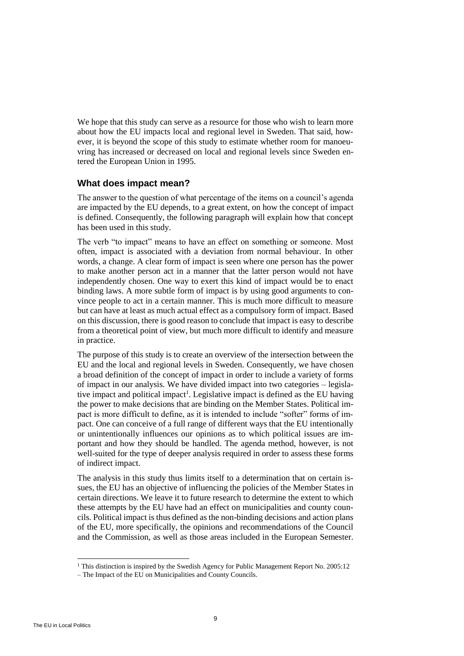We hope that this study can serve as a resource for those who wish to learn more about how the EU impacts local and regional level in Sweden. That said, however, it is beyond the scope of this study to estimate whether room for manoeuvring has increased or decreased on local and regional levels since Sweden entered the European Union in 1995.

# <span id="page-8-0"></span>**What does impact mean?**

The answer to the question of what percentage of the items on a council's agenda are impacted by the EU depends, to a great extent, on how the concept of impact is defined. Consequently, the following paragraph will explain how that concept has been used in this study.

The verb "to impact" means to have an effect on something or someone. Most often, impact is associated with a deviation from normal behaviour. In other words, a change. A clear form of impact is seen where one person has the power to make another person act in a manner that the latter person would not have independently chosen. One way to exert this kind of impact would be to enact binding laws. A more subtle form of impact is by using good arguments to convince people to act in a certain manner. This is much more difficult to measure but can have at least as much actual effect as a compulsory form of impact. Based on this discussion, there is good reason to conclude that impact is easy to describe from a theoretical point of view, but much more difficult to identify and measure in practice.

The purpose of this study is to create an overview of the intersection between the EU and the local and regional levels in Sweden. Consequently, we have chosen a broad definition of the concept of impact in order to include a variety of forms of impact in our analysis. We have divided impact into two categories – legislative impact and political impact<sup>1</sup>. Legislative impact is defined as the EU having the power to make decisions that are binding on the Member States. Political impact is more difficult to define, as it is intended to include "softer" forms of impact. One can conceive of a full range of different ways that the EU intentionally or unintentionally influences our opinions as to which political issues are important and how they should be handled. The agenda method, however, is not well-suited for the type of deeper analysis required in order to assess these forms of indirect impact.

The analysis in this study thus limits itself to a determination that on certain issues, the EU has an objective of influencing the policies of the Member States in certain directions. We leave it to future research to determine the extent to which these attempts by the EU have had an effect on municipalities and county councils. Political impact is thus defined as the non-binding decisions and action plans of the EU, more specifically, the opinions and recommendations of the Council and the Commission, as well as those areas included in the European Semester.

l

<sup>&</sup>lt;sup>1</sup> This distinction is inspired by the Swedish Agency for Public Management Report No. 2005:12

<sup>–</sup> The Impact of the EU on Municipalities and County Councils.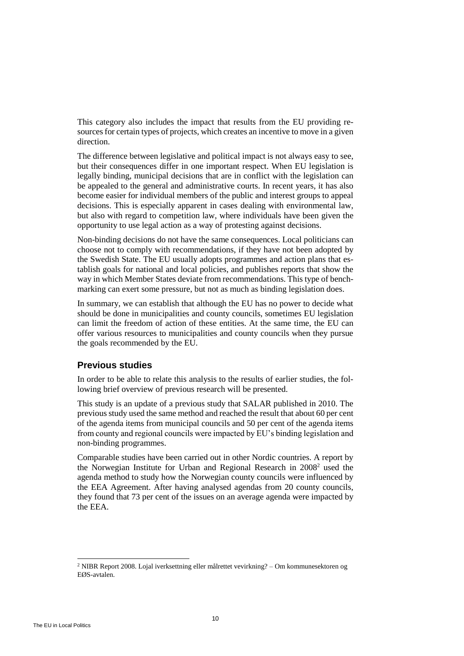This category also includes the impact that results from the EU providing resources for certain types of projects, which creates an incentive to move in a given direction.

The difference between legislative and political impact is not always easy to see, but their consequences differ in one important respect. When EU legislation is legally binding, municipal decisions that are in conflict with the legislation can be appealed to the general and administrative courts. In recent years, it has also become easier for individual members of the public and interest groups to appeal decisions. This is especially apparent in cases dealing with environmental law, but also with regard to competition law, where individuals have been given the opportunity to use legal action as a way of protesting against decisions.

Non-binding decisions do not have the same consequences. Local politicians can choose not to comply with recommendations, if they have not been adopted by the Swedish State. The EU usually adopts programmes and action plans that establish goals for national and local policies, and publishes reports that show the way in which Member States deviate from recommendations. This type of benchmarking can exert some pressure, but not as much as binding legislation does.

In summary, we can establish that although the EU has no power to decide what should be done in municipalities and county councils, sometimes EU legislation can limit the freedom of action of these entities. At the same time, the EU can offer various resources to municipalities and county councils when they pursue the goals recommended by the EU.

# <span id="page-9-0"></span>**Previous studies**

In order to be able to relate this analysis to the results of earlier studies, the following brief overview of previous research will be presented.

This study is an update of a previous study that SALAR published in 2010. The previous study used the same method and reached the result that about 60 per cent of the agenda items from municipal councils and 50 per cent of the agenda items from county and regional councils were impacted by EU's binding legislation and non-binding programmes.

Comparable studies have been carried out in other Nordic countries. A report by the Norwegian Institute for Urban and Regional Research in 2008<sup>2</sup> used the agenda method to study how the Norwegian county councils were influenced by the EEA Agreement. After having analysed agendas from 20 county councils, they found that 73 per cent of the issues on an average agenda were impacted by the EEA.

l

<sup>2</sup> NIBR Report 2008. Lojal iverksettning eller målrettet vevirkning? – Om kommunesektoren og EØS-avtalen.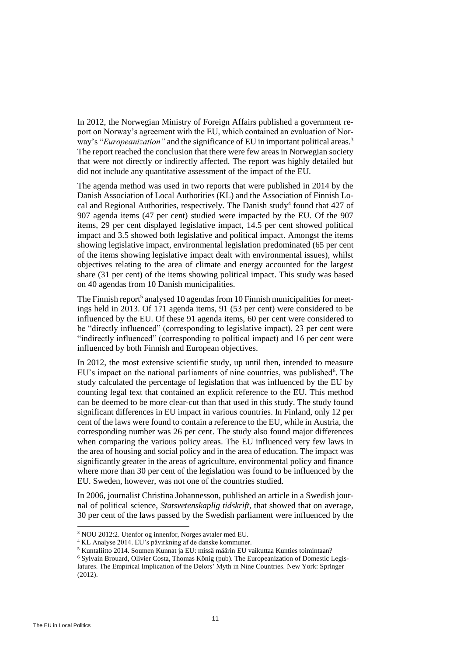In 2012, the Norwegian Ministry of Foreign Affairs published a government report on Norway's agreement with the EU, which contained an evaluation of Norway's "*Europeanization"* and the significance of EU in important political areas.<sup>3</sup> The report reached the conclusion that there were few areas in Norwegian society that were not directly or indirectly affected. The report was highly detailed but did not include any quantitative assessment of the impact of the EU.

The agenda method was used in two reports that were published in 2014 by the Danish Association of Local Authorities (KL) and the Association of Finnish Local and Regional Authorities, respectively. The Danish study<sup>4</sup> found that 427 of 907 agenda items (47 per cent) studied were impacted by the EU. Of the 907 items, 29 per cent displayed legislative impact, 14.5 per cent showed political impact and 3.5 showed both legislative and political impact. Amongst the items showing legislative impact, environmental legislation predominated (65 per cent of the items showing legislative impact dealt with environmental issues), whilst objectives relating to the area of climate and energy accounted for the largest share (31 per cent) of the items showing political impact. This study was based on 40 agendas from 10 Danish municipalities.

The Finnish report<sup>5</sup> analysed 10 agendas from 10 Finnish municipalities for meetings held in 2013. Of 171 agenda items, 91 (53 per cent) were considered to be influenced by the EU. Of these 91 agenda items, 60 per cent were considered to be "directly influenced" (corresponding to legislative impact), 23 per cent were "indirectly influenced" (corresponding to political impact) and 16 per cent were influenced by both Finnish and European objectives.

In 2012, the most extensive scientific study, up until then, intended to measure EU's impact on the national parliaments of nine countries, was published<sup>6</sup>. The study calculated the percentage of legislation that was influenced by the EU by counting legal text that contained an explicit reference to the EU. This method can be deemed to be more clear-cut than that used in this study. The study found significant differences in EU impact in various countries. In Finland, only 12 per cent of the laws were found to contain a reference to the EU, while in Austria, the corresponding number was 26 per cent. The study also found major differences when comparing the various policy areas. The EU influenced very few laws in the area of housing and social policy and in the area of education. The impact was significantly greater in the areas of agriculture, environmental policy and finance where more than 30 per cent of the legislation was found to be influenced by the EU. Sweden, however, was not one of the countries studied.

In 2006, journalist Christina Johannesson, published an article in a Swedish journal of political science, *Statsvetenskaplig tidskrift,* that showed that on average, 30 per cent of the laws passed by the Swedish parliament were influenced by the

 $\overline{\phantom{a}}$ 

<sup>3</sup> NOU 2012:2. Utenfor og innenfor, Norges avtaler med EU.

<sup>4</sup> KL Analyse 2014. EU's påvirkning af de danske kommuner.

<sup>5</sup> Kuntaliitto 2014. Soumen Kunnat ja EU: missä määrin EU vaikuttaa Kunties toimintaan?

<sup>&</sup>lt;sup>6</sup> Sylvain Brouard, Olivier Costa, Thomas König (pub). The Europeanization of Domestic Legislatures. The Empirical Implication of the Delors' Myth in Nine Countries. New York: Springer (2012).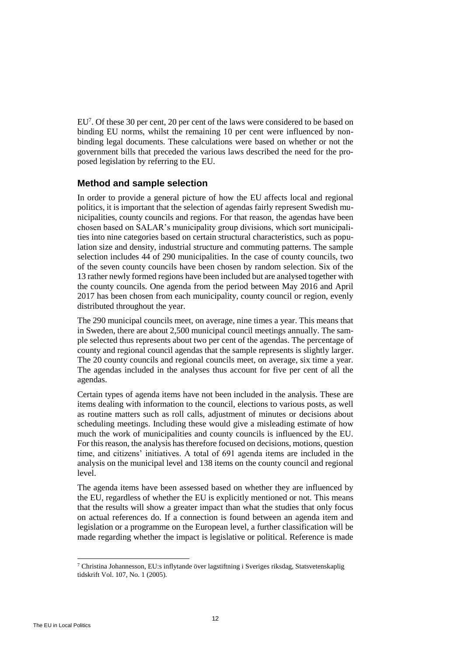EU<sup>7</sup> . Of these 30 per cent, 20 per cent of the laws were considered to be based on binding EU norms, whilst the remaining 10 per cent were influenced by nonbinding legal documents. These calculations were based on whether or not the government bills that preceded the various laws described the need for the proposed legislation by referring to the EU.

# <span id="page-11-0"></span>**Method and sample selection**

In order to provide a general picture of how the EU affects local and regional politics, it is important that the selection of agendas fairly represent Swedish municipalities, county councils and regions. For that reason, the agendas have been chosen based on SALAR's municipality group divisions, which sort municipalities into nine categories based on certain structural characteristics, such as population size and density, industrial structure and commuting patterns. The sample selection includes 44 of 290 municipalities. In the case of county councils, two of the seven county councils have been chosen by random selection. Six of the 13 rather newly formed regions have been included but are analysed together with the county councils. One agenda from the period between May 2016 and April 2017 has been chosen from each municipality, county council or region, evenly distributed throughout the year.

The 290 municipal councils meet, on average, nine times a year. This means that in Sweden, there are about 2,500 municipal council meetings annually. The sample selected thus represents about two per cent of the agendas. The percentage of county and regional council agendas that the sample represents is slightly larger. The 20 county councils and regional councils meet, on average, six time a year. The agendas included in the analyses thus account for five per cent of all the agendas.

Certain types of agenda items have not been included in the analysis. These are items dealing with information to the council, elections to various posts, as well as routine matters such as roll calls, adjustment of minutes or decisions about scheduling meetings. Including these would give a misleading estimate of how much the work of municipalities and county councils is influenced by the EU. For this reason, the analysis has therefore focused on decisions, motions, question time, and citizens' initiatives. A total of 691 agenda items are included in the analysis on the municipal level and 138 items on the county council and regional level.

The agenda items have been assessed based on whether they are influenced by the EU, regardless of whether the EU is explicitly mentioned or not. This means that the results will show a greater impact than what the studies that only focus on actual references do. If a connection is found between an agenda item and legislation or a programme on the European level, a further classification will be made regarding whether the impact is legislative or political. Reference is made

l

<sup>7</sup> Christina Johannesson, EU:s inflytande över lagstiftning i Sveriges riksdag, Statsvetenskaplig tidskrift Vol. 107, No. 1 (2005).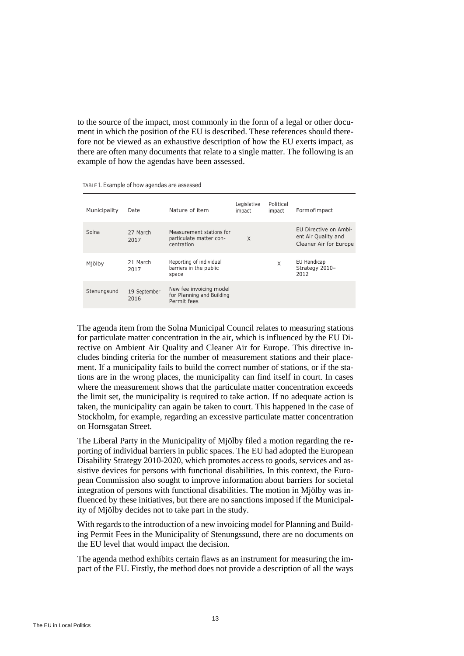to the source of the impact, most commonly in the form of a legal or other document in which the position of the EU is described. These references should therefore not be viewed as an exhaustive description of how the EU exerts impact, as there are often many documents that relate to a single matter. The following is an example of how the agendas have been assessed.

| Municipality | Date                 | Nature of item                                                      | Legislative<br>impact | Political<br>impact | Formofimpact                                                           |
|--------------|----------------------|---------------------------------------------------------------------|-----------------------|---------------------|------------------------------------------------------------------------|
| Solna        | 27 March<br>2017     | Measurement stations for<br>particulate matter con-<br>centration   | $\mathsf{X}$          |                     | FU Directive on Ambi-<br>ent Air Quality and<br>Cleaner Air for Europe |
| Mjölby       | 21 March<br>2017     | Reporting of individual<br>barriers in the public<br>space          |                       | X                   | EU Handicap<br>Strategy 2010-<br>2012                                  |
| Stenungsund  | 19 September<br>2016 | New fee invoicing model<br>for Planning and Building<br>Permit fees |                       |                     |                                                                        |

TABLE 1. Example of how agendas are assessed

The agenda item from the Solna Municipal Council relates to measuring stations for particulate matter concentration in the air, which is influenced by the EU Directive on Ambient Air Quality and Cleaner Air for Europe. This directive includes binding criteria for the number of measurement stations and their placement. If a municipality fails to build the correct number of stations, or if the stations are in the wrong places, the municipality can find itself in court. In cases where the measurement shows that the particulate matter concentration exceeds the limit set, the municipality is required to take action. If no adequate action is taken, the municipality can again be taken to court. This happened in the case of Stockholm, for example, regarding an excessive particulate matter concentration on Hornsgatan Street.

The Liberal Party in the Municipality of Mjölby filed a motion regarding the reporting of individual barriers in public spaces. The EU had adopted the European Disability Strategy 2010-2020, which promotes access to goods, services and assistive devices for persons with functional disabilities. In this context, the European Commission also sought to improve information about barriers for societal integration of persons with functional disabilities. The motion in Mjölby was influenced by these initiatives, but there are no sanctions imposed if the Municipality of Mjölby decides not to take part in the study.

With regards to the introduction of a new invoicing model for Planning and Building Permit Fees in the Municipality of Stenungssund, there are no documents on the EU level that would impact the decision.

The agenda method exhibits certain flaws as an instrument for measuring the impact of the EU. Firstly, the method does not provide a description of all the ways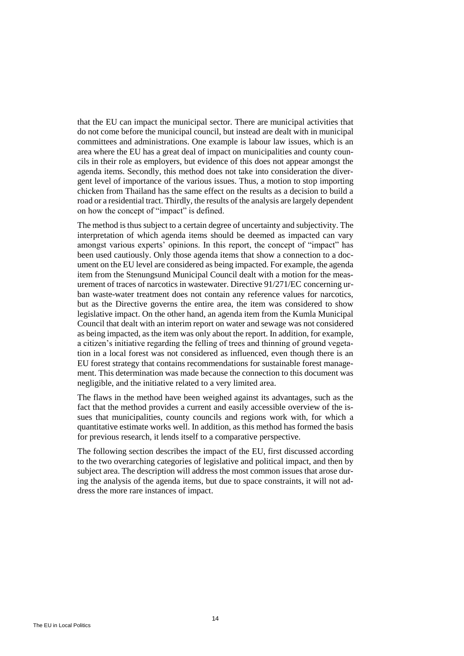that the EU can impact the municipal sector. There are municipal activities that do not come before the municipal council, but instead are dealt with in municipal committees and administrations. One example is labour law issues, which is an area where the EU has a great deal of impact on municipalities and county councils in their role as employers, but evidence of this does not appear amongst the agenda items. Secondly, this method does not take into consideration the divergent level of importance of the various issues. Thus, a motion to stop importing chicken from Thailand has the same effect on the results as a decision to build a road or a residential tract. Thirdly, the results of the analysis are largely dependent on how the concept of "impact" is defined.

The method is thus subject to a certain degree of uncertainty and subjectivity. The interpretation of which agenda items should be deemed as impacted can vary amongst various experts' opinions. In this report, the concept of "impact" has been used cautiously. Only those agenda items that show a connection to a document on the EU level are considered as being impacted. For example, the agenda item from the Stenungsund Municipal Council dealt with a motion for the measurement of traces of narcotics in wastewater. Directive 91/271/EC concerning urban waste-water treatment does not contain any reference values for narcotics, but as the Directive governs the entire area, the item was considered to show legislative impact. On the other hand, an agenda item from the Kumla Municipal Council that dealt with an interim report on water and sewage was not considered as being impacted, as the item was only about the report. In addition, for example, a citizen's initiative regarding the felling of trees and thinning of ground vegetation in a local forest was not considered as influenced, even though there is an EU forest strategy that contains recommendations for sustainable forest management. This determination was made because the connection to this document was negligible, and the initiative related to a very limited area.

The flaws in the method have been weighed against its advantages, such as the fact that the method provides a current and easily accessible overview of the issues that municipalities, county councils and regions work with, for which a quantitative estimate works well. In addition, as this method has formed the basis for previous research, it lends itself to a comparative perspective.

The following section describes the impact of the EU, first discussed according to the two overarching categories of legislative and political impact, and then by subject area. The description will address the most common issues that arose during the analysis of the agenda items, but due to space constraints, it will not address the more rare instances of impact.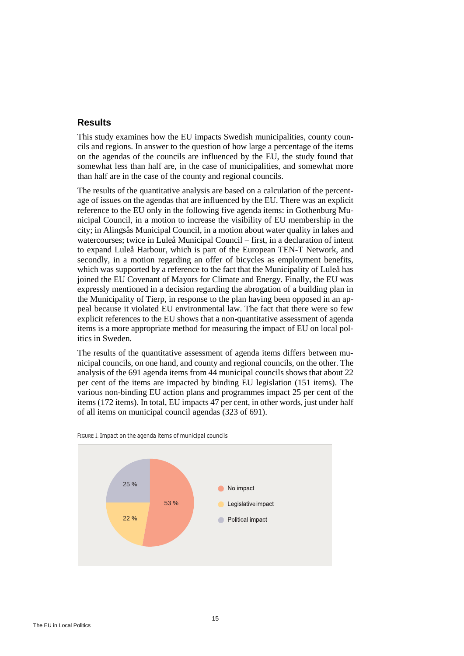## <span id="page-14-0"></span>**Results**

This study examines how the EU impacts Swedish municipalities, county councils and regions. In answer to the question of how large a percentage of the items on the agendas of the councils are influenced by the EU, the study found that somewhat less than half are, in the case of municipalities, and somewhat more than half are in the case of the county and regional councils.

The results of the quantitative analysis are based on a calculation of the percentage of issues on the agendas that are influenced by the EU. There was an explicit reference to the EU only in the following five agenda items: in Gothenburg Municipal Council, in a motion to increase the visibility of EU membership in the city; in Alingsås Municipal Council, in a motion about water quality in lakes and watercourses; twice in Luleå Municipal Council – first, in a declaration of intent to expand Luleå Harbour, which is part of the European TEN-T Network, and secondly, in a motion regarding an offer of bicycles as employment benefits, which was supported by a reference to the fact that the Municipality of Luleå has joined the EU Covenant of Mayors for Climate and Energy. Finally, the EU was expressly mentioned in a decision regarding the abrogation of a building plan in the Municipality of Tierp, in response to the plan having been opposed in an appeal because it violated EU environmental law. The fact that there were so few explicit references to the EU shows that a non-quantitative assessment of agenda items is a more appropriate method for measuring the impact of EU on local politics in Sweden.

The results of the quantitative assessment of agenda items differs between municipal councils, on one hand, and county and regional councils, on the other. The analysis of the 691 agenda items from 44 municipal councils shows that about 22 per cent of the items are impacted by binding EU legislation (151 items). The various non-binding EU action plans and programmes impact 25 per cent of the items (172 items). In total, EU impacts 47 per cent, in other words, just under half of all items on municipal council agendas (323 of 691).



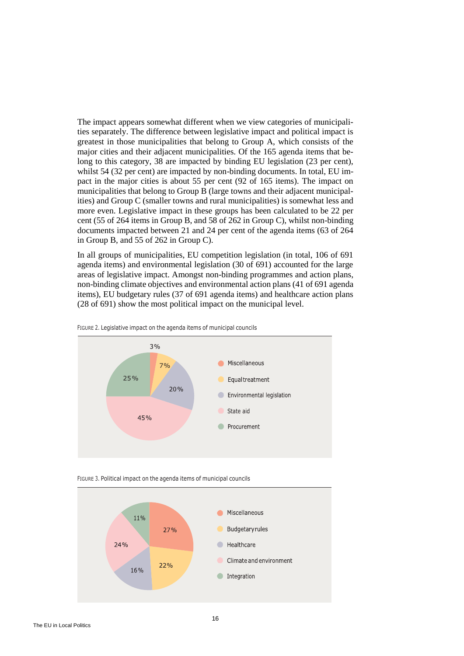The impact appears somewhat different when we view categories of municipalities separately. The difference between legislative impact and political impact is greatest in those municipalities that belong to Group A, which consists of the major cities and their adjacent municipalities. Of the 165 agenda items that belong to this category, 38 are impacted by binding EU legislation (23 per cent), whilst 54 (32 per cent) are impacted by non-binding documents. In total, EU impact in the major cities is about 55 per cent (92 of 165 items). The impact on municipalities that belong to Group B (large towns and their adjacent municipalities) and Group C (smaller towns and rural municipalities) is somewhat less and more even. Legislative impact in these groups has been calculated to be 22 per cent (55 of 264 items in Group B, and 58 of 262 in Group C), whilst non-binding documents impacted between 21 and 24 per cent of the agenda items (63 of 264 in Group B, and 55 of 262 in Group C).

In all groups of municipalities, EU competition legislation (in total, 106 of 691 agenda items) and environmental legislation (30 of 691) accounted for the large areas of legislative impact. Amongst non-binding programmes and action plans, non-binding climate objectives and environmental action plans (41 of 691 agenda items), EU budgetary rules (37 of 691 agenda items) and healthcare action plans (28 of 691) show the most political impact on the municipal level.







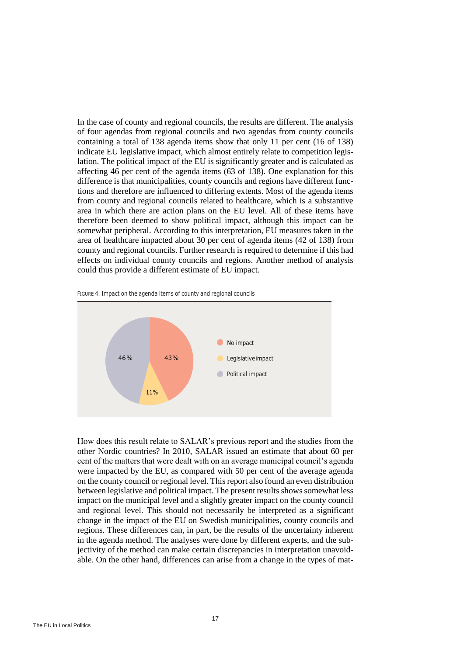In the case of county and regional councils, the results are different. The analysis of four agendas from regional councils and two agendas from county councils containing a total of 138 agenda items show that only 11 per cent (16 of 138) indicate EU legislative impact, which almost entirely relate to competition legislation. The political impact of the EU is significantly greater and is calculated as affecting 46 per cent of the agenda items (63 of 138). One explanation for this difference is that municipalities, county councils and regions have different functions and therefore are influenced to differing extents. Most of the agenda items from county and regional councils related to healthcare, which is a substantive area in which there are action plans on the EU level. All of these items have therefore been deemed to show political impact, although this impact can be somewhat peripheral. According to this interpretation, EU measures taken in the area of healthcare impacted about 30 per cent of agenda items (42 of 138) from county and regional councils. Further research is required to determine if this had effects on individual county councils and regions. Another method of analysis could thus provide a different estimate of EU impact.





How does this result relate to SALAR's previous report and the studies from the other Nordic countries? In 2010, SALAR issued an estimate that about 60 per cent of the matters that were dealt with on an average municipal council's agenda were impacted by the EU, as compared with 50 per cent of the average agenda on the county council or regional level. This report also found an even distribution between legislative and political impact. The present results shows somewhat less impact on the municipal level and a slightly greater impact on the county council and regional level. This should not necessarily be interpreted as a significant change in the impact of the EU on Swedish municipalities, county councils and regions. These differences can, in part, be the results of the uncertainty inherent in the agenda method. The analyses were done by different experts, and the subjectivity of the method can make certain discrepancies in interpretation unavoidable. On the other hand, differences can arise from a change in the types of mat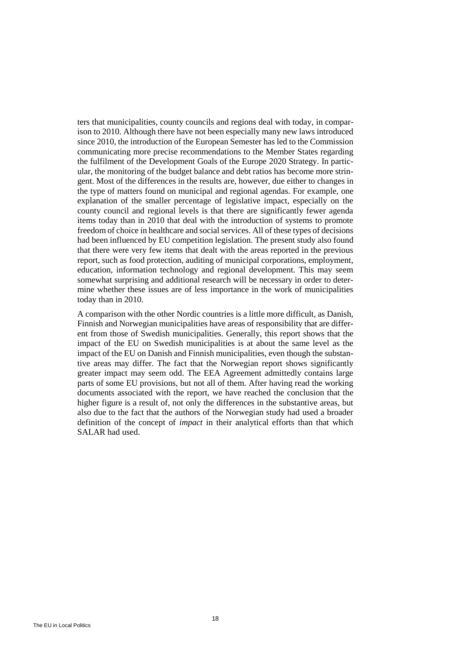ters that municipalities, county councils and regions deal with today, in comparison to 2010. Although there have not been especially many new laws introduced since 2010, the introduction of the European Semester has led to the Commission communicating more precise recommendations to the Member States regarding the fulfilment of the Development Goals of the Europe 2020 Strategy. In particular, the monitoring of the budget balance and debt ratios has become more stringent. Most of the differences in the results are, however, due either to changes in the type of matters found on municipal and regional agendas. For example, one explanation of the smaller percentage of legislative impact, especially on the county council and regional levels is that there are significantly fewer agenda items today than in 2010 that deal with the introduction of systems to promote freedom of choice in healthcare and social services. All of these types of decisions had been influenced by EU competition legislation. The present study also found that there were very few items that dealt with the areas reported in the previous report, such as food protection, auditing of municipal corporations, employment, education, information technology and regional development. This may seem somewhat surprising and additional research will be necessary in order to determine whether these issues are of less importance in the work of municipalities today than in 2010.

A comparison with the other Nordic countries is a little more difficult, as Danish, Finnish and Norwegian municipalities have areas of responsibility that are different from those of Swedish municipalities. Generally, this report shows that the impact of the EU on Swedish municipalities is at about the same level as the impact of the EU on Danish and Finnish municipalities, even though the substantive areas may differ. The fact that the Norwegian report shows significantly greater impact may seem odd. The EEA Agreement admittedly contains large parts of some EU provisions, but not all of them. After having read the working documents associated with the report, we have reached the conclusion that the higher figure is a result of, not only the differences in the substantive areas, but also due to the fact that the authors of the Norwegian study had used a broader definition of the concept of *impact* in their analytical efforts than that which SALAR had used.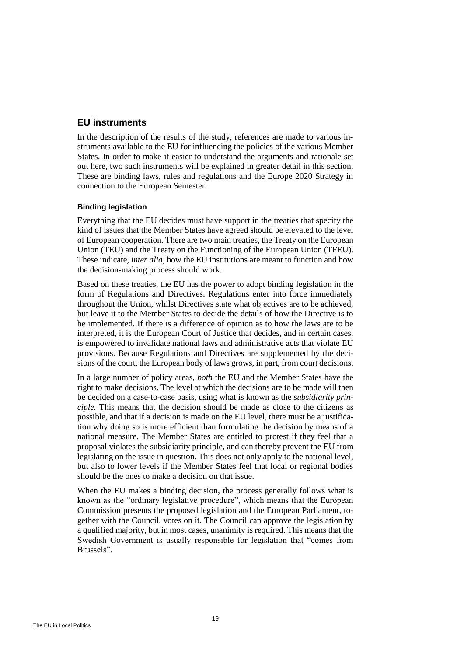# <span id="page-18-0"></span>**EU instruments**

In the description of the results of the study, references are made to various instruments available to the EU for influencing the policies of the various Member States. In order to make it easier to understand the arguments and rationale set out here, two such instruments will be explained in greater detail in this section. These are binding laws, rules and regulations and the Europe 2020 Strategy in connection to the European Semester.

### **Binding legislation**

Everything that the EU decides must have support in the treaties that specify the kind of issues that the Member States have agreed should be elevated to the level of European cooperation. There are two main treaties, the Treaty on the European Union (TEU) and the Treaty on the Functioning of the European Union (TFEU). These indicate, *inter alia,* how the EU institutions are meant to function and how the decision-making process should work.

Based on these treaties, the EU has the power to adopt binding legislation in the form of Regulations and Directives. Regulations enter into force immediately throughout the Union, whilst Directives state what objectives are to be achieved, but leave it to the Member States to decide the details of how the Directive is to be implemented. If there is a difference of opinion as to how the laws are to be interpreted, it is the European Court of Justice that decides, and in certain cases, is empowered to invalidate national laws and administrative acts that violate EU provisions. Because Regulations and Directives are supplemented by the decisions of the court, the European body of laws grows, in part, from court decisions.

In a large number of policy areas, *both* the EU and the Member States have the right to make decisions. The level at which the decisions are to be made will then be decided on a case-to-case basis, using what is known as the *subsidiarity principle.* This means that the decision should be made as close to the citizens as possible, and that if a decision is made on the EU level, there must be a justification why doing so is more efficient than formulating the decision by means of a national measure. The Member States are entitled to protest if they feel that a proposal violates the subsidiarity principle, and can thereby prevent the EU from legislating on the issue in question. This does not only apply to the national level, but also to lower levels if the Member States feel that local or regional bodies should be the ones to make a decision on that issue.

When the EU makes a binding decision, the process generally follows what is known as the "ordinary legislative procedure", which means that the European Commission presents the proposed legislation and the European Parliament, together with the Council, votes on it. The Council can approve the legislation by a qualified majority, but in most cases, unanimity is required. This means that the Swedish Government is usually responsible for legislation that "comes from Brussels".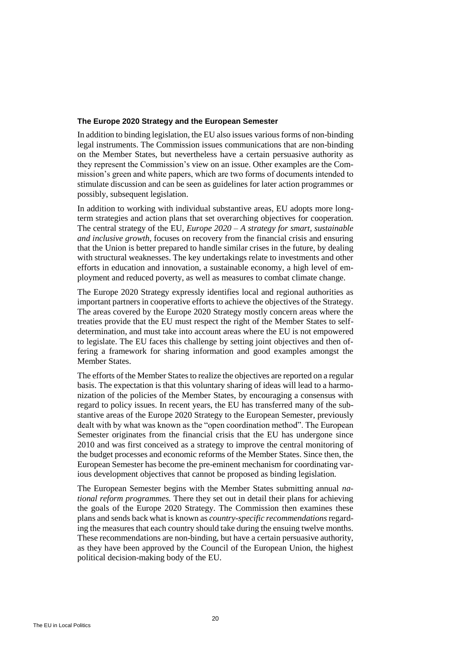#### **The Europe 2020 Strategy and the European Semester**

In addition to binding legislation, the EU also issues various forms of non-binding legal instruments. The Commission issues communications that are non-binding on the Member States, but nevertheless have a certain persuasive authority as they represent the Commission's view on an issue. Other examples are the Commission's green and white papers, which are two forms of documents intended to stimulate discussion and can be seen as guidelines for later action programmes or possibly, subsequent legislation.

In addition to working with individual substantive areas, EU adopts more longterm strategies and action plans that set overarching objectives for cooperation. The central strategy of the EU, *Europe 2020 – A strategy for smart, sustainable and inclusive growth,* focuses on recovery from the financial crisis and ensuring that the Union is better prepared to handle similar crises in the future, by dealing with structural weaknesses. The key undertakings relate to investments and other efforts in education and innovation, a sustainable economy, a high level of employment and reduced poverty, as well as measures to combat climate change.

The Europe 2020 Strategy expressly identifies local and regional authorities as important partners in cooperative efforts to achieve the objectives of the Strategy. The areas covered by the Europe 2020 Strategy mostly concern areas where the treaties provide that the EU must respect the right of the Member States to selfdetermination, and must take into account areas where the EU is not empowered to legislate. The EU faces this challenge by setting joint objectives and then offering a framework for sharing information and good examples amongst the Member States.

The efforts of the Member States to realize the objectives are reported on a regular basis. The expectation is that this voluntary sharing of ideas will lead to a harmonization of the policies of the Member States, by encouraging a consensus with regard to policy issues. In recent years, the EU has transferred many of the substantive areas of the Europe 2020 Strategy to the European Semester, previously dealt with by what was known as the "open coordination method". The European Semester originates from the financial crisis that the EU has undergone since 2010 and was first conceived as a strategy to improve the central monitoring of the budget processes and economic reforms of the Member States. Since then, the European Semester has become the pre-eminent mechanism for coordinating various development objectives that cannot be proposed as binding legislation.

The European Semester begins with the Member States submitting annual *national reform programmes.* There they set out in detail their plans for achieving the goals of the Europe 2020 Strategy. The Commission then examines these plans and sends back what is known as *country-specific recommendations* regarding the measures that each country should take during the ensuing twelve months. These recommendations are non-binding, but have a certain persuasive authority, as they have been approved by the Council of the European Union, the highest political decision-making body of the EU.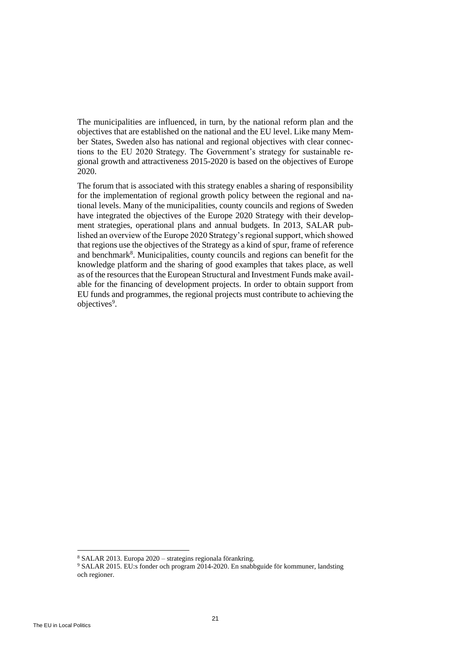The municipalities are influenced, in turn, by the national reform plan and the objectives that are established on the national and the EU level. Like many Member States, Sweden also has national and regional objectives with clear connections to the EU 2020 Strategy. The Government's strategy for sustainable regional growth and attractiveness 2015-2020 is based on the objectives of Europe 2020.

The forum that is associated with this strategy enables a sharing of responsibility for the implementation of regional growth policy between the regional and national levels. Many of the municipalities, county councils and regions of Sweden have integrated the objectives of the Europe 2020 Strategy with their development strategies, operational plans and annual budgets. In 2013, SALAR published an overview of the Europe 2020 Strategy's regional support, which showed that regions use the objectives of the Strategy as a kind of spur, frame of reference and benchmark<sup>8</sup>. Municipalities, county councils and regions can benefit for the knowledge platform and the sharing of good examples that takes place, as well as of the resources that the European Structural and Investment Funds make available for the financing of development projects. In order to obtain support from EU funds and programmes, the regional projects must contribute to achieving the objectives<sup>9</sup>.

 $\overline{a}$ 

<sup>8</sup> SALAR 2013. Europa 2020 – strategins regionala förankring.

<sup>9</sup> SALAR 2015. EU:s fonder och program 2014-2020. En snabbguide för kommuner, landsting och regioner.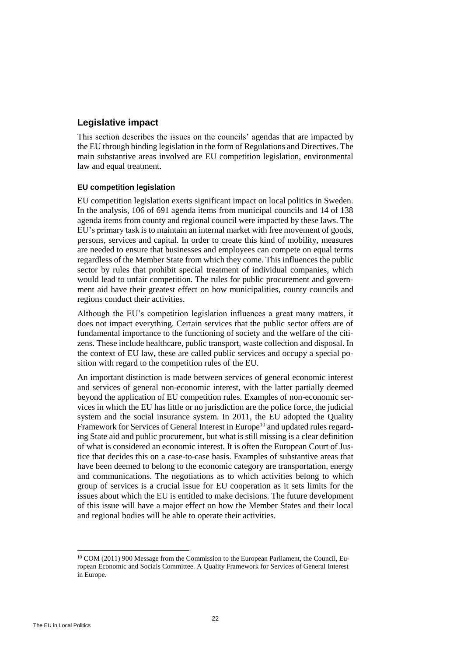# <span id="page-21-0"></span>**Legislative impact**

This section describes the issues on the councils' agendas that are impacted by the EU through binding legislation in the form of Regulations and Directives. The main substantive areas involved are EU competition legislation, environmental law and equal treatment.

### **EU competition legislation**

EU competition legislation exerts significant impact on local politics in Sweden. In the analysis, 106 of 691 agenda items from municipal councils and 14 of 138 agenda items from county and regional council were impacted by these laws. The EU's primary task is to maintain an internal market with free movement of goods, persons, services and capital. In order to create this kind of mobility, measures are needed to ensure that businesses and employees can compete on equal terms regardless of the Member State from which they come. This influences the public sector by rules that prohibit special treatment of individual companies, which would lead to unfair competition. The rules for public procurement and government aid have their greatest effect on how municipalities, county councils and regions conduct their activities.

Although the EU's competition legislation influences a great many matters, it does not impact everything. Certain services that the public sector offers are of fundamental importance to the functioning of society and the welfare of the citizens. These include healthcare, public transport, waste collection and disposal. In the context of EU law, these are called public services and occupy a special position with regard to the competition rules of the EU.

An important distinction is made between services of general economic interest and services of general non-economic interest, with the latter partially deemed beyond the application of EU competition rules. Examples of non-economic services in which the EU has little or no jurisdiction are the police force, the judicial system and the social insurance system. In 2011, the EU adopted the Quality Framework for Services of General Interest in Europe<sup>10</sup> and updated rules regarding State aid and public procurement, but what is still missing is a clear definition of what is considered an economic interest. It is often the European Court of Justice that decides this on a case-to-case basis. Examples of substantive areas that have been deemed to belong to the economic category are transportation, energy and communications. The negotiations as to which activities belong to which group of services is a crucial issue for EU cooperation as it sets limits for the issues about which the EU is entitled to make decisions. The future development of this issue will have a major effect on how the Member States and their local and regional bodies will be able to operate their activities.

 $\overline{a}$ <sup>10</sup> COM (2011) 900 Message from the Commission to the European Parliament, the Council, European Economic and Socials Committee. A Quality Framework for Services of General Interest in Europe.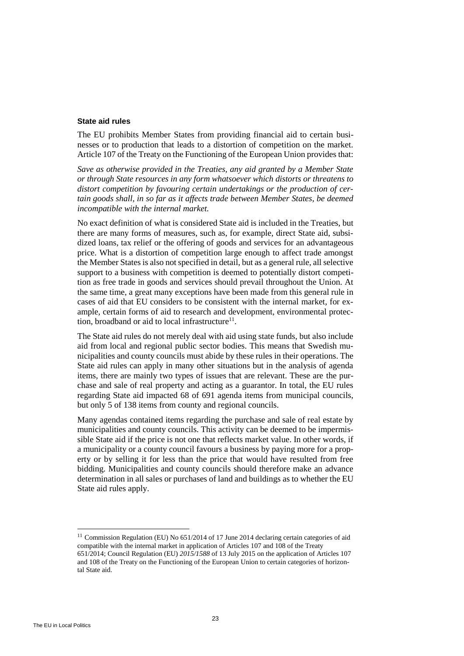#### **State aid rules**

The EU prohibits Member States from providing financial aid to certain businesses or to production that leads to a distortion of competition on the market. Article 107 of the Treaty on the Functioning of the European Union provides that:

*Save as otherwise provided in the Treaties, any aid granted by a Member State or through State resources in any form whatsoever which distorts or threatens to distort competition by favouring certain undertakings or the production of certain goods shall, in so far as it affects trade between Member States, be deemed incompatible with the internal market.*

No exact definition of what is considered State aid is included in the Treaties, but there are many forms of measures, such as, for example, direct State aid, subsidized loans, tax relief or the offering of goods and services for an advantageous price. What is a distortion of competition large enough to affect trade amongst the Member States is also not specified in detail, but as a general rule, all selective support to a business with competition is deemed to potentially distort competition as free trade in goods and services should prevail throughout the Union. At the same time, a great many exceptions have been made from this general rule in cases of aid that EU considers to be consistent with the internal market, for example, certain forms of aid to research and development, environmental protection, broadband or aid to local infrastructure<sup>11</sup>.

The State aid rules do not merely deal with aid using state funds, but also include aid from local and regional public sector bodies. This means that Swedish municipalities and county councils must abide by these rules in their operations. The State aid rules can apply in many other situations but in the analysis of agenda items, there are mainly two types of issues that are relevant. These are the purchase and sale of real property and acting as a guarantor. In total, the EU rules regarding State aid impacted 68 of 691 agenda items from municipal councils, but only 5 of 138 items from county and regional councils.

Many agendas contained items regarding the purchase and sale of real estate by municipalities and county councils. This activity can be deemed to be impermissible State aid if the price is not one that reflects market value. In other words, if a municipality or a county council favours a business by paying more for a property or by selling it for less than the price that would have resulted from free bidding. Municipalities and county councils should therefore make an advance determination in all sales or purchases of land and buildings as to whether the EU State aid rules apply.

 $\overline{a}$ 

<sup>&</sup>lt;sup>11</sup> Commission Regulation (EU) No 651/2014 of 17 June 2014 declaring certain categories of aid compatible with the internal market in application of Articles 107 and 108 of the Treaty 651/2014; Council Regulation (EU) *2015/1588* [of 13 July 2015 on the application of Articles 107](https://eur-lex.europa.eu/legal-content/AUTO/?uri=CELEX:32015R1588&qid=1549253308927&rid=1)  [and 108 of the Treaty on the Functioning of the European Union to certain categories of horizon](https://eur-lex.europa.eu/legal-content/AUTO/?uri=CELEX:32015R1588&qid=1549253308927&rid=1)[tal State aid.](https://eur-lex.europa.eu/legal-content/AUTO/?uri=CELEX:32015R1588&qid=1549253308927&rid=1)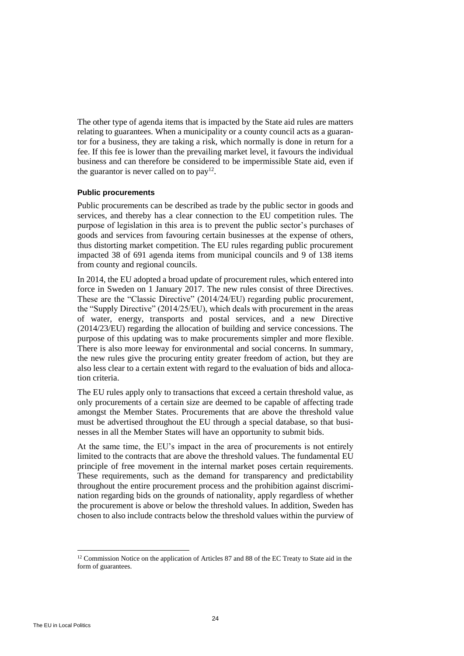The other type of agenda items that is impacted by the State aid rules are matters relating to guarantees. When a municipality or a county council acts as a guarantor for a business, they are taking a risk, which normally is done in return for a fee. If this fee is lower than the prevailing market level, it favours the individual business and can therefore be considered to be impermissible State aid, even if the guarantor is never called on to  $pay<sup>12</sup>$ .

#### **Public procurements**

Public procurements can be described as trade by the public sector in goods and services, and thereby has a clear connection to the EU competition rules. The purpose of legislation in this area is to prevent the public sector's purchases of goods and services from favouring certain businesses at the expense of others, thus distorting market competition. The EU rules regarding public procurement impacted 38 of 691 agenda items from municipal councils and 9 of 138 items from county and regional councils.

In 2014, the EU adopted a broad update of procurement rules, which entered into force in Sweden on 1 January 2017. The new rules consist of three Directives. These are the "Classic Directive" (2014/24/EU) regarding public procurement, the "Supply Directive" (2014/25/EU), which deals with procurement in the areas of water, energy, transports and postal services, and a new Directive (2014/23/EU) regarding the allocation of building and service concessions. The purpose of this updating was to make procurements simpler and more flexible. There is also more leeway for environmental and social concerns. In summary, the new rules give the procuring entity greater freedom of action, but they are also less clear to a certain extent with regard to the evaluation of bids and allocation criteria.

The EU rules apply only to transactions that exceed a certain threshold value, as only procurements of a certain size are deemed to be capable of affecting trade amongst the Member States. Procurements that are above the threshold value must be advertised throughout the EU through a special database, so that businesses in all the Member States will have an opportunity to submit bids.

At the same time, the EU's impact in the area of procurements is not entirely limited to the contracts that are above the threshold values. The fundamental EU principle of free movement in the internal market poses certain requirements. These requirements, such as the demand for transparency and predictability throughout the entire procurement process and the prohibition against discrimination regarding bids on the grounds of nationality, apply regardless of whether the procurement is above or below the threshold values. In addition, Sweden has chosen to also include contracts below the threshold values within the purview of

 $\overline{a}$ <sup>12</sup> Commission Notice on the application of Articles 87 and 88 of the EC Treaty to State aid in the [form of guarantees.](https://eur-lex.europa.eu/legal-content/EN/AUTO/?uri=uriserv:OJ.C_.2008.155.01.0010.01.ENG&toc=OJ:C:2008:155:TOC)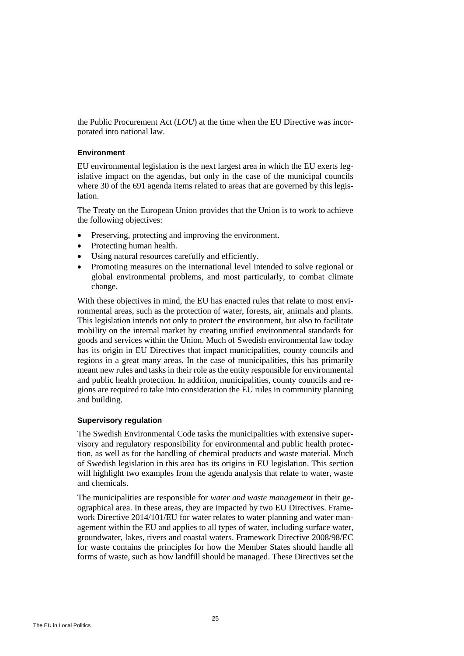the Public Procurement Act (*LOU*) at the time when the EU Directive was incorporated into national law.

#### **Environment**

EU environmental legislation is the next largest area in which the EU exerts legislative impact on the agendas, but only in the case of the municipal councils where 30 of the 691 agenda items related to areas that are governed by this legislation.

The Treaty on the European Union provides that the Union is to work to achieve the following objectives:

- Preserving, protecting and improving the environment.
- Protecting human health.
- Using natural resources carefully and efficiently.
- Promoting measures on the international level intended to solve regional or global environmental problems, and most particularly, to combat climate change.

With these objectives in mind, the EU has enacted rules that relate to most environmental areas, such as the protection of water, forests, air, animals and plants. This legislation intends not only to protect the environment, but also to facilitate mobility on the internal market by creating unified environmental standards for goods and services within the Union. Much of Swedish environmental law today has its origin in EU Directives that impact municipalities, county councils and regions in a great many areas. In the case of municipalities, this has primarily meant new rules and tasks in their role as the entity responsible for environmental and public health protection. In addition, municipalities, county councils and regions are required to take into consideration the EU rules in community planning and building.

#### **Supervisory regulation**

The Swedish Environmental Code tasks the municipalities with extensive supervisory and regulatory responsibility for environmental and public health protection, as well as for the handling of chemical products and waste material. Much of Swedish legislation in this area has its origins in EU legislation. This section will highlight two examples from the agenda analysis that relate to water, waste and chemicals.

The municipalities are responsible for *water and waste management* in their geographical area. In these areas, they are impacted by two EU Directives. Framework Directive 2014/101/EU for water relates to water planning and water management within the EU and applies to all types of water, including surface water, groundwater, lakes, rivers and coastal waters. Framework Directive 2008/98/EC for waste contains the principles for how the Member States should handle all forms of waste, such as how landfill should be managed. These Directives set the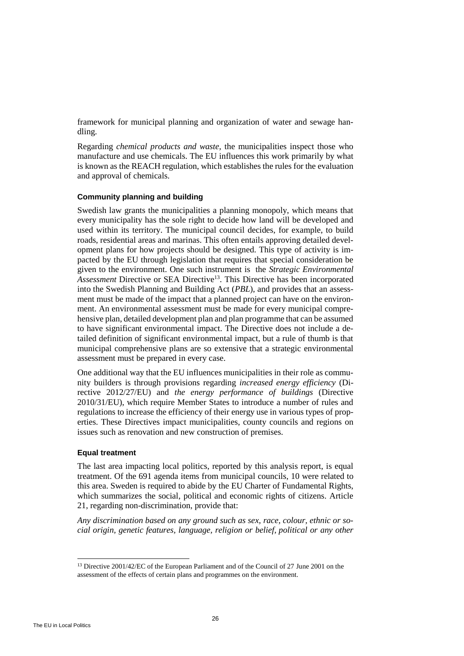framework for municipal planning and organization of water and sewage handling.

Regarding *chemical products and waste,* the municipalities inspect those who manufacture and use chemicals. The EU influences this work primarily by what is known as the REACH regulation, which establishes the rules for the evaluation and approval of chemicals.

### **Community planning and building**

Swedish law grants the municipalities a planning monopoly, which means that every municipality has the sole right to decide how land will be developed and used within its territory. The municipal council decides, for example, to build roads, residential areas and marinas. This often entails approving detailed development plans for how projects should be designed. This type of activity is impacted by the EU through legislation that requires that special consideration be given to the environment. One such instrument is the *Strategic Environmental Assessment* Directive or SEA Directive<sup>13</sup>. This Directive has been incorporated into the Swedish Planning and Building Act (*PBL*), and provides that an assessment must be made of the impact that a planned project can have on the environment. An environmental assessment must be made for every municipal comprehensive plan, detailed development plan and plan programme that can be assumed to have significant environmental impact. The Directive does not include a detailed definition of significant environmental impact, but a rule of thumb is that municipal comprehensive plans are so extensive that a strategic environmental assessment must be prepared in every case.

One additional way that the EU influences municipalities in their role as community builders is through provisions regarding *increased energy efficiency* (Directive 2012/27/EU) and *the energy performance of buildings* (Directive 2010/31/EU), which require Member States to introduce a number of rules and regulations to increase the efficiency of their energy use in various types of properties. These Directives impact municipalities, county councils and regions on issues such as renovation and new construction of premises.

#### **Equal treatment**

The last area impacting local politics, reported by this analysis report, is equal treatment. Of the 691 agenda items from municipal councils, 10 were related to this area. Sweden is required to abide by the EU Charter of Fundamental Rights, which summarizes the social, political and economic rights of citizens. Article 21, regarding non-discrimination, provide that:

*Any discrimination based on any ground such as sex, race, colour, ethnic or social origin, genetic features, language, religion or belief, political or any other* 

l

<sup>&</sup>lt;sup>13</sup> Directive 2001/42/EC of the European Parliament and of the Council of 27 June 2001 on the assessment of the effects of certain plans and programmes on the environment.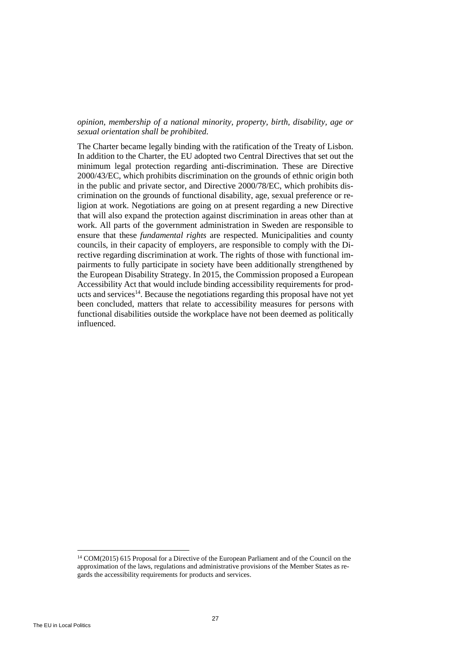#### *opinion, membership of a national minority, property, birth, disability, age or sexual orientation shall be prohibited.*

The Charter became legally binding with the ratification of the Treaty of Lisbon. In addition to the Charter, the EU adopted two Central Directives that set out the minimum legal protection regarding anti-discrimination. These are Directive 2000/43/EC, which prohibits discrimination on the grounds of ethnic origin both in the public and private sector, and Directive 2000/78/EC, which prohibits discrimination on the grounds of functional disability, age, sexual preference or religion at work. Negotiations are going on at present regarding a new Directive that will also expand the protection against discrimination in areas other than at work. All parts of the government administration in Sweden are responsible to ensure that these *fundamental rights* are respected. Municipalities and county councils, in their capacity of employers, are responsible to comply with the Directive regarding discrimination at work. The rights of those with functional impairments to fully participate in society have been additionally strengthened by the European Disability Strategy. In 2015, the Commission proposed a European Accessibility Act that would include binding accessibility requirements for products and services<sup>14</sup>. Because the negotiations regarding this proposal have not yet been concluded, matters that relate to accessibility measures for persons with functional disabilities outside the workplace have not been deemed as politically influenced.

 $\overline{a}$ 

<sup>&</sup>lt;sup>14</sup> COM(2015) 615 Proposal for a Directive of the European Parliament and of the Council on the approximation of the laws, regulations and administrative provisions of the Member States as regards the accessibility requirements for products and services.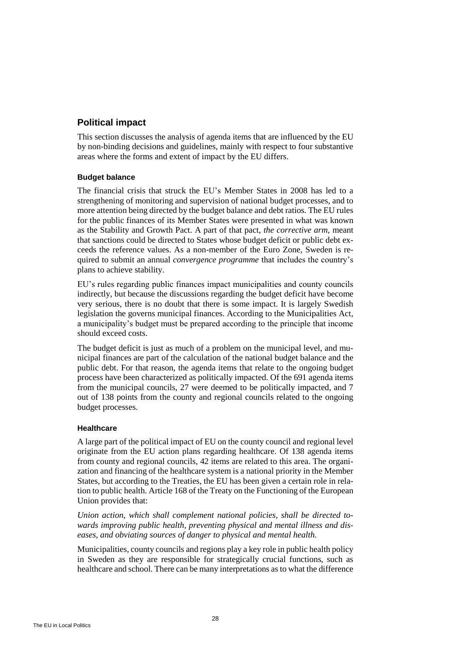# <span id="page-27-0"></span>**Political impact**

This section discusses the analysis of agenda items that are influenced by the EU by non-binding decisions and guidelines, mainly with respect to four substantive areas where the forms and extent of impact by the EU differs.

### **Budget balance**

The financial crisis that struck the EU's Member States in 2008 has led to a strengthening of monitoring and supervision of national budget processes, and to more attention being directed by the budget balance and debt ratios. The EU rules for the public finances of its Member States were presented in what was known as the Stability and Growth Pact. A part of that pact, *the corrective arm,* meant that sanctions could be directed to States whose budget deficit or public debt exceeds the reference values. As a non-member of the Euro Zone, Sweden is required to submit an annual *convergence programme* that includes the country's plans to achieve stability.

EU's rules regarding public finances impact municipalities and county councils indirectly, but because the discussions regarding the budget deficit have become very serious, there is no doubt that there is some impact. It is largely Swedish legislation the governs municipal finances. According to the Municipalities Act, a municipality's budget must be prepared according to the principle that income should exceed costs.

The budget deficit is just as much of a problem on the municipal level, and municipal finances are part of the calculation of the national budget balance and the public debt. For that reason, the agenda items that relate to the ongoing budget process have been characterized as politically impacted. Of the 691 agenda items from the municipal councils, 27 were deemed to be politically impacted, and 7 out of 138 points from the county and regional councils related to the ongoing budget processes.

# **Healthcare**

A large part of the political impact of EU on the county council and regional level originate from the EU action plans regarding healthcare. Of 138 agenda items from county and regional councils, 42 items are related to this area. The organization and financing of the healthcare system is a national priority in the Member States, but according to the Treaties, the EU has been given a certain role in relation to public health. Article 168 of the Treaty on the Functioning of the European Union provides that:

*Union action, which shall complement national policies, shall be directed towards improving public health, preventing physical and mental illness and diseases, and obviating sources of danger to physical and mental health.* 

Municipalities, county councils and regions play a key role in public health policy in Sweden as they are responsible for strategically crucial functions, such as healthcare and school. There can be many interpretations as to what the difference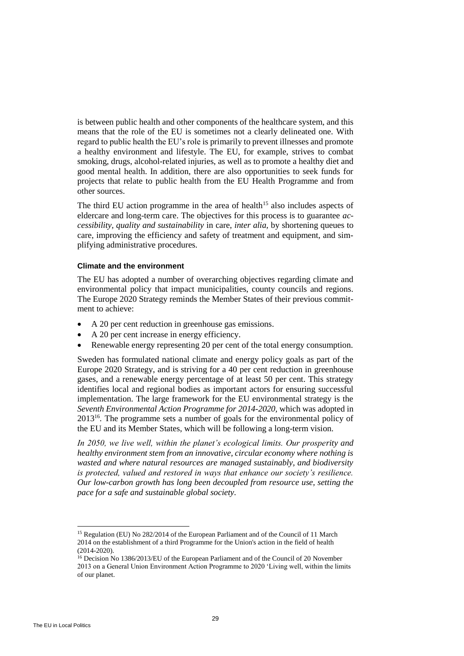is between public health and other components of the healthcare system, and this means that the role of the EU is sometimes not a clearly delineated one. With regard to public health the EU's role is primarily to prevent illnesses and promote a healthy environment and lifestyle. The EU, for example, strives to combat smoking, drugs, alcohol-related injuries, as well as to promote a healthy diet and good mental health. In addition, there are also opportunities to seek funds for projects that relate to public health from the EU Health Programme and from other sources.

The third EU action programme in the area of health<sup>15</sup> also includes aspects of eldercare and long-term care. The objectives for this process is to guarantee *accessibility, quality and sustainability* in care, *inter alia,* by shortening queues to care, improving the efficiency and safety of treatment and equipment, and simplifying administrative procedures.

#### **Climate and the environment**

The EU has adopted a number of overarching objectives regarding climate and environmental policy that impact municipalities, county councils and regions. The Europe 2020 Strategy reminds the Member States of their previous commitment to achieve:

- A 20 per cent reduction in greenhouse gas emissions.
- A 20 per cent increase in energy efficiency.
- Renewable energy representing 20 per cent of the total energy consumption.

Sweden has formulated national climate and energy policy goals as part of the Europe 2020 Strategy, and is striving for a 40 per cent reduction in greenhouse gases, and a renewable energy percentage of at least 50 per cent. This strategy identifies local and regional bodies as important actors for ensuring successful implementation. The large framework for the EU environmental strategy is the *Seventh Environmental Action Programme for 2014-2020,* which was adopted in 2013<sup>16</sup> *.* The programme sets a number of goals for the environmental policy of the EU and its Member States, which will be following a long-term vision.

*In 2050, we live well, within the planet's ecological limits. Our prosperity and healthy environment stem from an innovative, circular economy where nothing is wasted and where natural resources are managed sustainably, and biodiversity is protected, valued and restored in ways that enhance our society's resilience. Our low-carbon growth has long been decoupled from resource use, setting the pace for a safe and sustainable global society.*

 $\overline{a}$ 

<sup>&</sup>lt;sup>15</sup> Regulation (EU) No 282/2014 of the European Parliament and of the Council of 11 March 2014 on the establishment of a third Programme for the Union's action in the field of health (2014-2020).

<sup>&</sup>lt;sup>16</sup> Decision No 1386/2013/EU of the European Parliament and of the Council of 20 November 2013 on a General Union Environment Action Programme to 2020 'Living well, within the limits of our planet.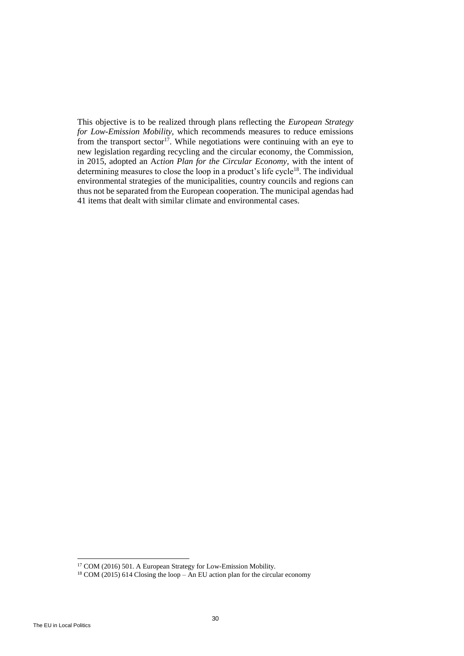This objective is to be realized through plans reflecting the *European Strategy for Low-Emission Mobility,* which recommends measures to reduce emissions from the transport sector<sup>17</sup>. While negotiations were continuing with an eye to new legislation regarding recycling and the circular economy, the Commission, in 2015, adopted an A*ction Plan for the Circular Economy,* with the intent of determining measures to close the loop in a product's life cycle<sup>18</sup>. The individual environmental strategies of the municipalities, country councils and regions can thus not be separated from the European cooperation. The municipal agendas had 41 items that dealt with similar climate and environmental cases.

l

<sup>&</sup>lt;sup>17</sup> COM (2016) 501. A European Strategy for Low-Emission Mobility.

 $18$  COM (2015) 614 Closing the loop – An EU action plan for the circular economy